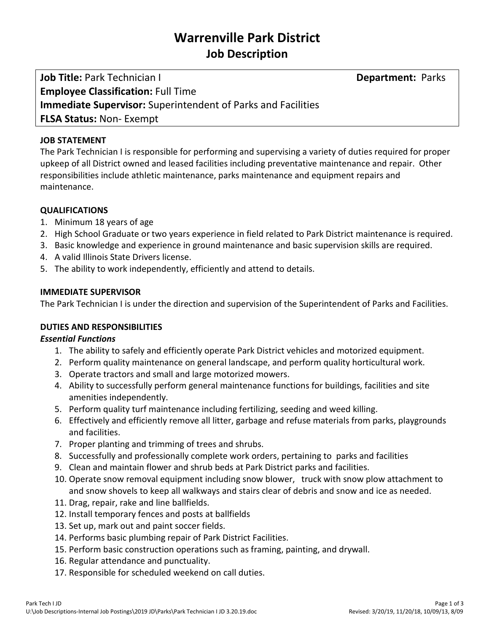# **Warrenville Park District Job Description**

**Job Title:** Park Technician I **Department:** Parks **Employee Classification:** Full Time **Immediate Supervisor:** Superintendent of Parks and Facilities **FLSA Status:** Non- Exempt

## **JOB STATEMENT**

The Park Technician I is responsible for performing and supervising a variety of duties required for proper upkeep of all District owned and leased facilities including preventative maintenance and repair. Other responsibilities include athletic maintenance, parks maintenance and equipment repairs and maintenance.

# **QUALIFICATIONS**

- 1. Minimum 18 years of age
- 2. High School Graduate or two years experience in field related to Park District maintenance is required.
- 3. Basic knowledge and experience in ground maintenance and basic supervision skills are required.
- 4. A valid Illinois State Drivers license.
- 5. The ability to work independently, efficiently and attend to details.

#### **IMMEDIATE SUPERVISOR**

The Park Technician I is under the direction and supervision of the Superintendent of Parks and Facilities.

# **DUTIES AND RESPONSIBILITIES**

#### *Essential Functions*

- 1. The ability to safely and efficiently operate Park District vehicles and motorized equipment.
- 2. Perform quality maintenance on general landscape, and perform quality horticultural work.
- 3. Operate tractors and small and large motorized mowers.
- 4. Ability to successfully perform general maintenance functions for buildings, facilities and site amenities independently.
- 5. Perform quality turf maintenance including fertilizing, seeding and weed killing.
- 6. Effectively and efficiently remove all litter, garbage and refuse materials from parks, playgrounds and facilities.
- 7. Proper planting and trimming of trees and shrubs.
- 8. Successfully and professionally complete work orders, pertaining to parks and facilities
- 9. Clean and maintain flower and shrub beds at Park District parks and facilities.
- 10. Operate snow removal equipment including snow blower, truck with snow plow attachment to and snow shovels to keep all walkways and stairs clear of debris and snow and ice as needed.
- 11. Drag, repair, rake and line ballfields.
- 12. Install temporary fences and posts at ballfields
- 13. Set up, mark out and paint soccer fields.
- 14. Performs basic plumbing repair of Park District Facilities.
- 15. Perform basic construction operations such as framing, painting, and drywall.
- 16. Regular attendance and punctuality.
- 17. Responsible for scheduled weekend on call duties.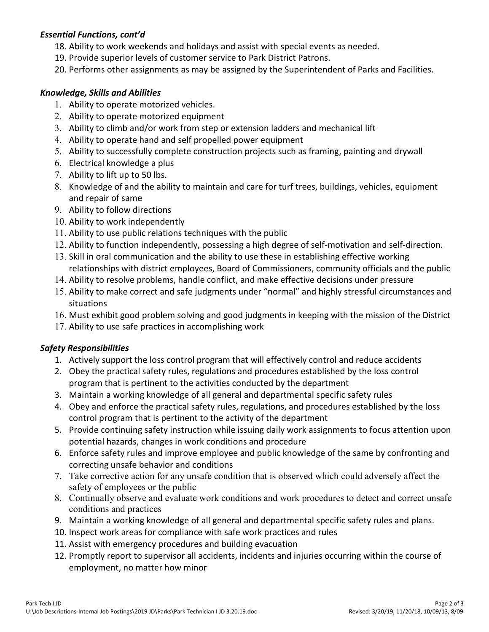## *Essential Functions, cont'd*

- 18. Ability to work weekends and holidays and assist with special events as needed.
- 19. Provide superior levels of customer service to Park District Patrons.
- 20. Performs other assignments as may be assigned by the Superintendent of Parks and Facilities.

## *Knowledge, Skills and Abilities*

- 1. Ability to operate motorized vehicles.
- 2. Ability to operate motorized equipment
- 3. Ability to climb and/or work from step or extension ladders and mechanical lift
- 4. Ability to operate hand and self propelled power equipment
- 5. Ability to successfully complete construction projects such as framing, painting and drywall
- 6. Electrical knowledge a plus
- 7. Ability to lift up to 50 lbs.
- 8. Knowledge of and the ability to maintain and care for turf trees, buildings, vehicles, equipment and repair of same
- 9. Ability to follow directions
- 10. Ability to work independently
- 11. Ability to use public relations techniques with the public
- 12. Ability to function independently, possessing a high degree of self-motivation and self-direction.
- 13. Skill in oral communication and the ability to use these in establishing effective working relationships with district employees, Board of Commissioners, community officials and the public
- 14. Ability to resolve problems, handle conflict, and make effective decisions under pressure
- 15. Ability to make correct and safe judgments under "normal" and highly stressful circumstances and situations
- 16. Must exhibit good problem solving and good judgments in keeping with the mission of the District
- 17. Ability to use safe practices in accomplishing work

# *Safety Responsibilities*

- 1. Actively support the loss control program that will effectively control and reduce accidents
- 2. Obey the practical safety rules, regulations and procedures established by the loss control program that is pertinent to the activities conducted by the department
- 3. Maintain a working knowledge of all general and departmental specific safety rules
- 4. Obey and enforce the practical safety rules, regulations, and procedures established by the loss control program that is pertinent to the activity of the department
- 5. Provide continuing safety instruction while issuing daily work assignments to focus attention upon potential hazards, changes in work conditions and procedure
- 6. Enforce safety rules and improve employee and public knowledge of the same by confronting and correcting unsafe behavior and conditions
- 7. Take corrective action for any unsafe condition that is observed which could adversely affect the safety of employees or the public
- 8. Continually observe and evaluate work conditions and work procedures to detect and correct unsafe conditions and practices
- 9. Maintain a working knowledge of all general and departmental specific safety rules and plans.
- 10. Inspect work areas for compliance with safe work practices and rules
- 11. Assist with emergency procedures and building evacuation
- 12. Promptly report to supervisor all accidents, incidents and injuries occurring within the course of employment, no matter how minor